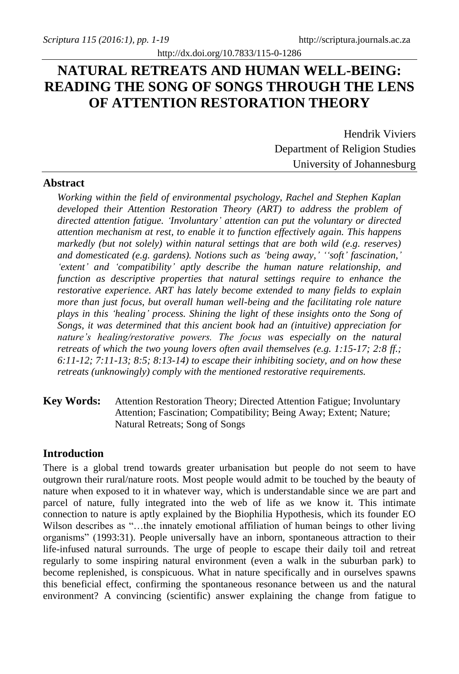# **NATURAL RETREATS AND HUMAN WELL-BEING: READING THE SONG OF SONGS THROUGH THE LENS OF ATTENTION RESTORATION THEORY**

Hendrik Viviers Department of Religion Studies University of Johannesburg

#### **Abstract**

*Working within the field of environmental psychology, Rachel and Stephen Kaplan developed their Attention Restoration Theory (ART) to address the problem of directed attention fatigue. 'Involuntary' attention can put the voluntary or directed attention mechanism at rest, to enable it to function effectively again. This happens markedly (but not solely) within natural settings that are both wild (e.g. reserves) and domesticated (e.g. gardens). Notions such as 'being away,' ''soft' fascination,' 'extent' and 'compatibility' aptly describe the human nature relationship, and function as descriptive properties that natural settings require to enhance the restorative experience. ART has lately become extended to many fields to explain more than just focus, but overall human well-being and the facilitating role nature plays in this 'healing' process. Shining the light of these insights onto the Song of Songs, it was determined that this ancient book had an (intuitive) appreciation for nature's healing/restorative powers. The focus was especially on the natural retreats of which the two young lovers often avail themselves (e.g. 1:15-17; 2:8 ff.; 6:11-12; 7:11-13; 8:5; 8:13-14) to escape their inhibiting society, and on how these retreats (unknowingly) comply with the mentioned restorative requirements.*

**Key Words:** Attention Restoration Theory; Directed Attention Fatigue; Involuntary Attention; Fascination; Compatibility; Being Away; Extent; Nature; Natural Retreats; Song of Songs

#### **Introduction**

There is a global trend towards greater urbanisation but people do not seem to have outgrown their rural/nature roots. Most people would admit to be touched by the beauty of nature when exposed to it in whatever way, which is understandable since we are part and parcel of nature, fully integrated into the web of life as we know it. This intimate connection to nature is aptly explained by the Biophilia Hypothesis, which its founder EO Wilson describes as "…the innately emotional affiliation of human beings to other living organisms" (1993:31). People universally have an inborn, spontaneous attraction to their life-infused natural surrounds. The urge of people to escape their daily toil and retreat regularly to some inspiring natural environment (even a walk in the suburban park) to become replenished, is conspicuous. What in nature specifically and in ourselves spawns this beneficial effect, confirming the spontaneous resonance between us and the natural environment? A convincing (scientific) answer explaining the change from fatigue to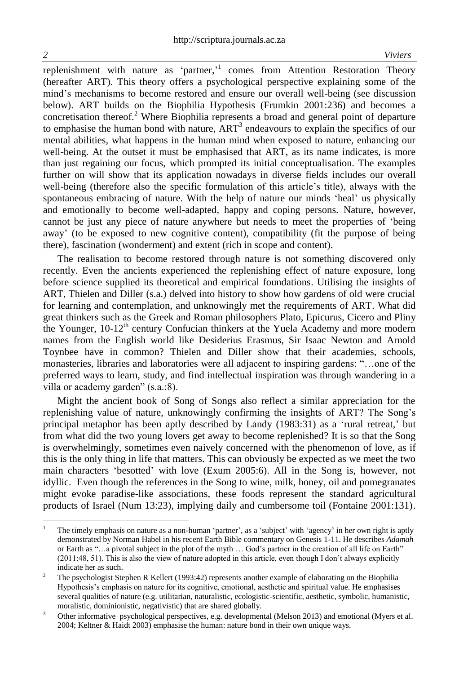replenishment with nature as 'partner,' comes from Attention Restoration Theory (hereafter ART). This theory offers a psychological perspective explaining some of the mind's mechanisms to become restored and ensure our overall well-being (see discussion below). ART builds on the Biophilia Hypothesis (Frumkin 2001:236) and becomes a concretisation thereof.<sup>2</sup> Where Biophilia represents a broad and general point of departure to emphasise the human bond with nature,  $ART<sup>3</sup>$  endeavours to explain the specifics of our mental abilities, what happens in the human mind when exposed to nature, enhancing our well-being. At the outset it must be emphasised that ART, as its name indicates, is more than just regaining our focus, which prompted its initial conceptualisation. The examples further on will show that its application nowadays in diverse fields includes our overall well-being (therefore also the specific formulation of this article's title), always with the spontaneous embracing of nature. With the help of nature our minds 'heal' us physically and emotionally to become well-adapted, happy and coping persons. Nature, however, cannot be just any piece of nature anywhere but needs to meet the properties of 'being away' (to be exposed to new cognitive content), compatibility (fit the purpose of being there), fascination (wonderment) and extent (rich in scope and content).

The realisation to become restored through nature is not something discovered only recently. Even the ancients experienced the replenishing effect of nature exposure, long before science supplied its theoretical and empirical foundations. Utilising the insights of ART, Thielen and Diller (s.a.) delved into history to show how gardens of old were crucial for learning and contemplation, and unknowingly met the requirements of ART. What did great thinkers such as the Greek and Roman philosophers Plato, Epicurus, Cicero and Pliny the Younger, 10-12<sup>th</sup> century Confucian thinkers at the Yuela Academy and more modern names from the English world like Desiderius Erasmus, Sir Isaac Newton and Arnold Toynbee have in common? Thielen and Diller show that their academies, schools, monasteries, libraries and laboratories were all adjacent to inspiring gardens: "…one of the preferred ways to learn, study, and find intellectual inspiration was through wandering in a villa or academy garden" (s.a.:8).

Might the ancient book of Song of Songs also reflect a similar appreciation for the replenishing value of nature, unknowingly confirming the insights of ART? The Song's principal metaphor has been aptly described by Landy (1983:31) as a 'rural retreat,' but from what did the two young lovers get away to become replenished? It is so that the Song is overwhelmingly, sometimes even naively concerned with the phenomenon of love, as if this is the only thing in life that matters. This can obviously be expected as we meet the two main characters 'besotted' with love (Exum 2005:6). All in the Song is, however, not idyllic. Even though the references in the Song to wine, milk, honey, oil and pomegranates might evoke paradise-like associations, these foods represent the standard agricultural products of Israel (Num 13:23), implying daily and cumbersome toil (Fontaine 2001:131).

 $\overline{a}$ 

<sup>1</sup> The timely emphasis on nature as a non-human 'partner', as a 'subject' with 'agency' in her own right is aptly demonstrated by Norman Habel in his recent Earth Bible commentary on Genesis 1-11. He describes *Adamah*  or Earth as "…a pivotal subject in the plot of the myth … God's partner in the creation of all life on Earth" (2011:48, 51). This is also the view of nature adopted in this article, even though I don't always explicitly indicate her as such.

<sup>&</sup>lt;sup>2</sup> The psychologist Stephen R Kellert (1993:42) represents another example of elaborating on the Biophilia Hypothesis's emphasis on nature for its cognitive, emotional, aesthetic and spiritual value. He emphasises several qualities of nature (e.g. utilitarian, naturalistic, ecologistic-scientific, aesthetic, symbolic, humanistic, moralistic, dominionistic, negativistic) that are shared globally.

<sup>&</sup>lt;sup>3</sup> Other informative psychological perspectives, e.g. developmental (Melson 2013) and emotional (Myers et al. 2004; Keltner & Haidt 2003) emphasise the human: nature bond in their own unique ways.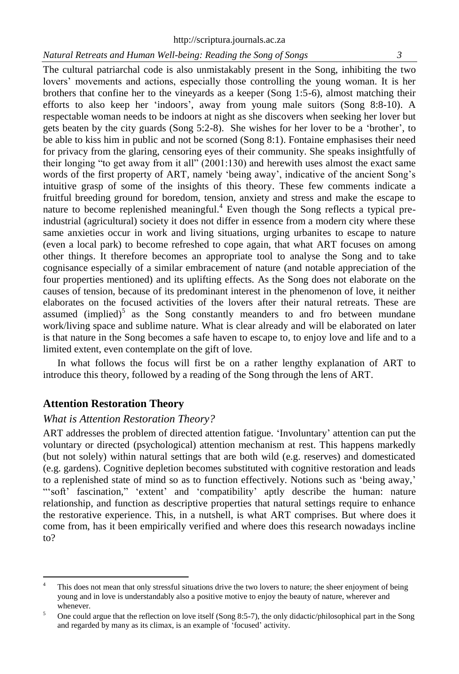The cultural patriarchal code is also unmistakably present in the Song, inhibiting the two lovers' movements and actions, especially those controlling the young woman. It is her brothers that confine her to the vineyards as a keeper (Song 1:5-6), almost matching their efforts to also keep her 'indoors', away from young male suitors (Song 8:8-10). A respectable woman needs to be indoors at night as she discovers when seeking her lover but gets beaten by the city guards (Song 5:2-8). She wishes for her lover to be a 'brother', to be able to kiss him in public and not be scorned (Song 8:1). Fontaine emphasises their need for privacy from the glaring, censoring eyes of their community. She speaks insightfully of their longing "to get away from it all" (2001:130) and herewith uses almost the exact same words of the first property of ART, namely 'being away', indicative of the ancient Song's intuitive grasp of some of the insights of this theory. These few comments indicate a fruitful breeding ground for boredom, tension, anxiety and stress and make the escape to nature to become replenished meaningful.<sup>4</sup> Even though the Song reflects a typical preindustrial (agricultural) society it does not differ in essence from a modern city where these same anxieties occur in work and living situations, urging urbanites to escape to nature (even a local park) to become refreshed to cope again, that what ART focuses on among other things. It therefore becomes an appropriate tool to analyse the Song and to take cognisance especially of a similar embracement of nature (and notable appreciation of the four properties mentioned) and its uplifting effects. As the Song does not elaborate on the causes of tension, because of its predominant interest in the phenomenon of love, it neither elaborates on the focused activities of the lovers after their natural retreats. These are assumed  $\mbox{(implied)}^5$  as the Song constantly meanders to and fro between mundane work/living space and sublime nature. What is clear already and will be elaborated on later is that nature in the Song becomes a safe haven to escape to, to enjoy love and life and to a limited extent, even contemplate on the gift of love.

In what follows the focus will first be on a rather lengthy explanation of ART to introduce this theory, followed by a reading of the Song through the lens of ART.

# **Attention Restoration Theory**

 $\overline{a}$ 

#### *What is Attention Restoration Theory?*

ART addresses the problem of directed attention fatigue. 'Involuntary' attention can put the voluntary or directed (psychological) attention mechanism at rest. This happens markedly (but not solely) within natural settings that are both wild (e.g. reserves) and domesticated (e.g. gardens). Cognitive depletion becomes substituted with cognitive restoration and leads to a replenished state of mind so as to function effectively. Notions such as 'being away,' "'soft' fascination," 'extent' and 'compatibility' aptly describe the human: nature relationship, and function as descriptive properties that natural settings require to enhance the restorative experience. This, in a nutshell, is what ART comprises. But where does it come from, has it been empirically verified and where does this research nowadays incline to?

This does not mean that only stressful situations drive the two lovers to nature; the sheer enjoyment of being young and in love is understandably also a positive motive to enjoy the beauty of nature, wherever and whenever.

<sup>&</sup>lt;sup>5</sup> One could argue that the reflection on love itself (Song 8:5-7), the only didactic/philosophical part in the Song and regarded by many as its climax, is an example of 'focused' activity.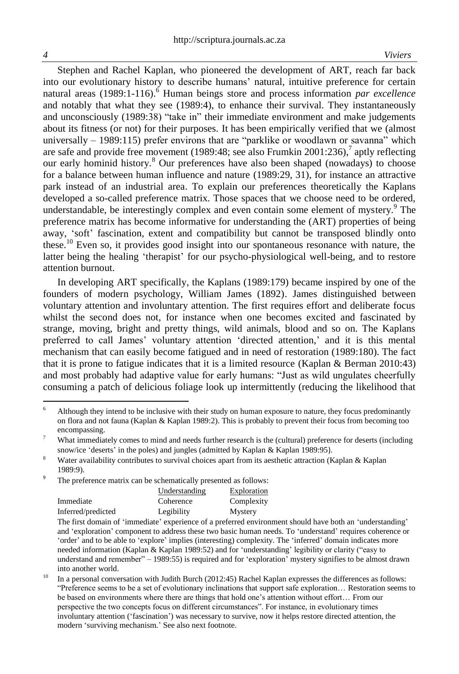$\overline{a}$ 

Stephen and Rachel Kaplan, who pioneered the development of ART, reach far back into our evolutionary history to describe humans' natural, intuitive preference for certain natural areas (1989:1-116).<sup>6</sup> Human beings store and process information *par excellence*  and notably that what they see (1989:4), to enhance their survival. They instantaneously and unconsciously (1989:38) "take in" their immediate environment and make judgements about its fitness (or not) for their purposes. It has been empirically verified that we (almost universally – 1989:115) prefer environs that are "parklike or woodlawn or savanna" which are safe and provide free movement (1989:48; see also Frumkin 2001:236),<sup>7</sup> aptly reflecting our early hominid history.<sup>8</sup> Our preferences have also been shaped (nowadays) to choose for a balance between human influence and nature (1989:29, 31), for instance an attractive park instead of an industrial area. To explain our preferences theoretically the Kaplans developed a so-called preference matrix. Those spaces that we choose need to be ordered, understandable, be interestingly complex and even contain some element of mystery.<sup>9</sup> The preference matrix has become informative for understanding the (ART) properties of being away, 'soft' fascination, extent and compatibility but cannot be transposed blindly onto these.<sup>10</sup> Even so, it provides good insight into our spontaneous resonance with nature, the latter being the healing 'therapist' for our psycho-physiological well-being, and to restore attention burnout.

In developing ART specifically, the Kaplans (1989:179) became inspired by one of the founders of modern psychology, William James (1892). James distinguished between voluntary attention and involuntary attention. The first requires effort and deliberate focus whilst the second does not, for instance when one becomes excited and fascinated by strange, moving, bright and pretty things, wild animals, blood and so on. The Kaplans preferred to call James' voluntary attention 'directed attention,' and it is this mental mechanism that can easily become fatigued and in need of restoration (1989:180). The fact that it is prone to fatigue indicates that it is a limited resource (Kaplan & Berman 2010:43) and most probably had adaptive value for early humans: "Just as wild ungulates cheerfully consuming a patch of delicious foliage look up intermittently (reducing the likelihood that

9 The preference matrix can be schematically presented as follows:

|                    | Understanding | Exploration |
|--------------------|---------------|-------------|
| Immediate          | Coherence     | Complexity  |
| Inferred/predicted | Legibility    | Mystery     |
| ___                |               |             |

The first domain of 'immediate' experience of a preferred environment should have both an 'understanding' and 'exploration' component to address these two basic human needs. To 'understand' requires coherence or 'order' and to be able to 'explore' implies (interesting) complexity. The 'inferred' domain indicates more needed information (Kaplan & Kaplan 1989:52) and for 'understanding' legibility or clarity ("easy to understand and remember" – 1989:55) is required and for 'exploration' mystery signifies to be almost drawn into another world.

<sup>6</sup> Although they intend to be inclusive with their study on human exposure to nature, they focus predominantly on flora and not fauna (Kaplan & Kaplan 1989:2). This is probably to prevent their focus from becoming too encompassing.

<sup>7</sup> What immediately comes to mind and needs further research is the (cultural) preference for deserts (including snow/ice 'deserts' in the poles) and jungles (admitted by Kaplan & Kaplan 1989:95).

<sup>&</sup>lt;sup>8</sup> Water availability contributes to survival choices apart from its aesthetic attraction (Kaplan & Kaplan 1989:9).

<sup>&</sup>lt;sup>10</sup> In a personal conversation with Judith Burch (2012:45) Rachel Kaplan expresses the differences as follows: "Preference seems to be a set of evolutionary inclinations that support safe exploration… Restoration seems to be based on environments where there are things that hold one's attention without effort… From our perspective the two concepts focus on different circumstances". For instance, in evolutionary times involuntary attention ('fascination') was necessary to survive, now it helps restore directed attention, the modern 'surviving mechanism.' See also next footnote.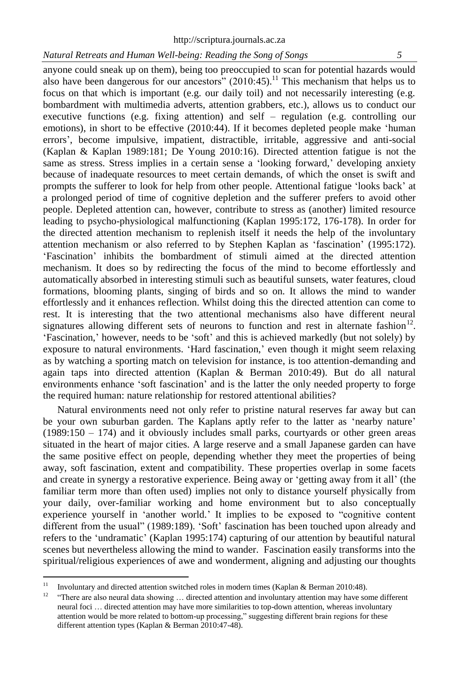anyone could sneak up on them), being too preoccupied to scan for potential hazards would also have been dangerous for our ancestors"  $(2010:45)$ .<sup>11</sup> This mechanism that helps us to focus on that which is important (e.g. our daily toil) and not necessarily interesting (e.g. bombardment with multimedia adverts, attention grabbers, etc.), allows us to conduct our executive functions (e.g. fixing attention) and self – regulation (e.g. controlling our emotions), in short to be effective (2010:44). If it becomes depleted people make 'human errors', become impulsive, impatient, distractible, irritable, aggressive and anti-social (Kaplan & Kaplan 1989:181; De Young 2010:16). Directed attention fatigue is not the same as stress. Stress implies in a certain sense a 'looking forward,' developing anxiety because of inadequate resources to meet certain demands, of which the onset is swift and prompts the sufferer to look for help from other people. Attentional fatigue 'looks back' at a prolonged period of time of cognitive depletion and the sufferer prefers to avoid other people. Depleted attention can, however, contribute to stress as (another) limited resource leading to psycho-physiological malfunctioning (Kaplan 1995:172, 176-178). In order for the directed attention mechanism to replenish itself it needs the help of the involuntary attention mechanism or also referred to by Stephen Kaplan as 'fascination' (1995:172). 'Fascination' inhibits the bombardment of stimuli aimed at the directed attention mechanism. It does so by redirecting the focus of the mind to become effortlessly and automatically absorbed in interesting stimuli such as beautiful sunsets, water features, cloud formations, blooming plants, singing of birds and so on. It allows the mind to wander effortlessly and it enhances reflection. Whilst doing this the directed attention can come to rest. It is interesting that the two attentional mechanisms also have different neural signatures allowing different sets of neurons to function and rest in alternate fashion $12$ . 'Fascination,' however, needs to be 'soft' and this is achieved markedly (but not solely) by exposure to natural environments. 'Hard fascination,' even though it might seem relaxing as by watching a sporting match on television for instance, is too attention-demanding and again taps into directed attention (Kaplan & Berman 2010:49). But do all natural environments enhance 'soft fascination' and is the latter the only needed property to forge the required human: nature relationship for restored attentional abilities?

Natural environments need not only refer to pristine natural reserves far away but can be your own suburban garden. The Kaplans aptly refer to the latter as 'nearby nature'  $(1989:150 - 174)$  and it obviously includes small parks, courtyards or other green areas situated in the heart of major cities. A large reserve and a small Japanese garden can have the same positive effect on people, depending whether they meet the properties of being away, soft fascination, extent and compatibility. These properties overlap in some facets and create in synergy a restorative experience. Being away or 'getting away from it all' (the familiar term more than often used) implies not only to distance yourself physically from your daily, over-familiar working and home environment but to also conceptually experience yourself in 'another world.' It implies to be exposed to "cognitive content different from the usual" (1989:189). 'Soft' fascination has been touched upon already and refers to the 'undramatic' (Kaplan 1995:174) capturing of our attention by beautiful natural scenes but nevertheless allowing the mind to wander. Fascination easily transforms into the spiritual/religious experiences of awe and wonderment, aligning and adjusting our thoughts

 $\overline{11}$ <sup>11</sup> Involuntary and directed attention switched roles in modern times (Kaplan & Berman 2010:48).

<sup>12</sup> "There are also neural data showing … directed attention and involuntary attention may have some different neural foci … directed attention may have more similarities to top-down attention, whereas involuntary attention would be more related to bottom-up processing," suggesting different brain regions for these different attention types (Kaplan & Berman 2010:47-48).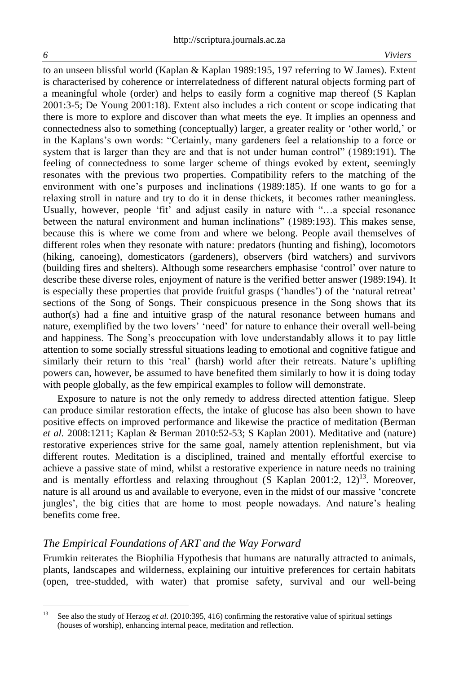to an unseen blissful world (Kaplan & Kaplan 1989:195, 197 referring to W James). Extent is characterised by coherence or interrelatedness of different natural objects forming part of a meaningful whole (order) and helps to easily form a cognitive map thereof (S Kaplan 2001:3-5; De Young 2001:18). Extent also includes a rich content or scope indicating that there is more to explore and discover than what meets the eye. It implies an openness and connectedness also to something (conceptually) larger, a greater reality or 'other world,' or in the Kaplans's own words: "Certainly, many gardeners feel a relationship to a force or system that is larger than they are and that is not under human control" (1989:191). The feeling of connectedness to some larger scheme of things evoked by extent, seemingly resonates with the previous two properties. Compatibility refers to the matching of the environment with one's purposes and inclinations (1989:185). If one wants to go for a relaxing stroll in nature and try to do it in dense thickets, it becomes rather meaningless. Usually, however, people 'fit' and adjust easily in nature with "…a special resonance between the natural environment and human inclinations" (1989:193). This makes sense, because this is where we come from and where we belong. People avail themselves of different roles when they resonate with nature: predators (hunting and fishing), locomotors (hiking, canoeing), domesticators (gardeners), observers (bird watchers) and survivors (building fires and shelters). Although some researchers emphasise 'control' over nature to describe these diverse roles, enjoyment of nature is the verified better answer (1989:194). It is especially these properties that provide fruitful grasps ('handles') of the 'natural retreat' sections of the Song of Songs. Their conspicuous presence in the Song shows that its author(s) had a fine and intuitive grasp of the natural resonance between humans and nature, exemplified by the two lovers' 'need' for nature to enhance their overall well-being and happiness. The Song's preoccupation with love understandably allows it to pay little attention to some socially stressful situations leading to emotional and cognitive fatigue and similarly their return to this 'real' (harsh) world after their retreats. Nature's uplifting powers can, however, be assumed to have benefited them similarly to how it is doing today with people globally, as the few empirical examples to follow will demonstrate.

Exposure to nature is not the only remedy to address directed attention fatigue. Sleep can produce similar restoration effects, the intake of glucose has also been shown to have positive effects on improved performance and likewise the practice of meditation (Berman *et al.* 2008:1211; Kaplan & Berman 2010:52-53; S Kaplan 2001). Meditative and (nature) restorative experiences strive for the same goal, namely attention replenishment, but via different routes. Meditation is a disciplined, trained and mentally effortful exercise to achieve a passive state of mind, whilst a restorative experience in nature needs no training and is mentally effortless and relaxing throughout  $(S$  Kaplan 2001:2, 12 $)^{13}$ . Moreover, nature is all around us and available to everyone, even in the midst of our massive 'concrete jungles', the big cities that are home to most people nowadays. And nature's healing benefits come free.

#### *The Empirical Foundations of ART and the Way Forward*

Frumkin reiterates the Biophilia Hypothesis that humans are naturally attracted to animals, plants, landscapes and wilderness, explaining our intuitive preferences for certain habitats (open, tree-studded, with water) that promise safety, survival and our well-being

 $13\,$ <sup>13</sup> See also the study of Herzog *et al.* (2010:395, 416) confirming the restorative value of spiritual settings (houses of worship), enhancing internal peace, meditation and reflection.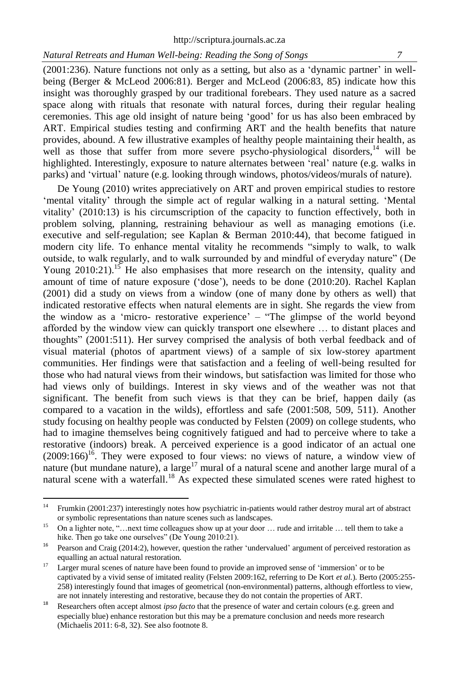(2001:236). Nature functions not only as a setting, but also as a 'dynamic partner' in wellbeing (Berger & McLeod 2006:81). Berger and McLeod (2006:83, 85) indicate how this insight was thoroughly grasped by our traditional forebears. They used nature as a sacred space along with rituals that resonate with natural forces, during their regular healing ceremonies. This age old insight of nature being 'good' for us has also been embraced by ART. Empirical studies testing and confirming ART and the health benefits that nature provides, abound. A few illustrative examples of healthy people maintaining their health, as well as those that suffer from more severe psycho-physiological disorders,<sup>14</sup> will be highlighted. Interestingly, exposure to nature alternates between 'real' nature (e.g. walks in parks) and 'virtual' nature (e.g. looking through windows, photos/videos/murals of nature).

De Young (2010) writes appreciatively on ART and proven empirical studies to restore 'mental vitality' through the simple act of regular walking in a natural setting. 'Mental vitality' (2010:13) is his circumscription of the capacity to function effectively, both in problem solving, planning, restraining behaviour as well as managing emotions (i.e. executive and self-regulation; see Kaplan & Berman 2010:44), that become fatigued in modern city life. To enhance mental vitality he recommends "simply to walk, to walk outside, to walk regularly, and to walk surrounded by and mindful of everyday nature" (De Young  $2010:21$ .<sup>15</sup> He also emphasises that more research on the intensity, quality and amount of time of nature exposure ('dose'), needs to be done (2010:20). Rachel Kaplan (2001) did a study on views from a window (one of many done by others as well) that indicated restorative effects when natural elements are in sight. She regards the view from the window as a 'micro- restorative experience' – "The glimpse of the world beyond afforded by the window view can quickly transport one elsewhere … to distant places and thoughts" (2001:511). Her survey comprised the analysis of both verbal feedback and of visual material (photos of apartment views) of a sample of six low-storey apartment communities. Her findings were that satisfaction and a feeling of well-being resulted for those who had natural views from their windows, but satisfaction was limited for those who had views only of buildings. Interest in sky views and of the weather was not that significant. The benefit from such views is that they can be brief, happen daily (as compared to a vacation in the wilds), effortless and safe (2001:508, 509, 511). Another study focusing on healthy people was conducted by Felsten (2009) on college students, who had to imagine themselves being cognitively fatigued and had to perceive where to take a restorative (indoors) break. A perceived experience is a good indicator of an actual one  $(2009:166)^{16}$ . They were exposed to four views: no views of nature, a window view of nature (but mundane nature), a large<sup>17</sup> mural of a natural scene and another large mural of a natural scene with a waterfall.<sup>18</sup> As expected these simulated scenes were rated highest to

 $14$ <sup>14</sup> Frumkin (2001:237) interestingly notes how psychiatric in-patients would rather destroy mural art of abstract or symbolic representations than nature scenes such as landscapes.

<sup>&</sup>lt;sup>15</sup> On a lighter note, "…next time colleagues show up at your door … rude and irritable … tell them to take a hike. Then go take one ourselves" (De Young 2010:21).

<sup>&</sup>lt;sup>16</sup> Pearson and Craig (2014:2), however, question the rather 'undervalued' argument of perceived restoration as equalling an actual natural restoration.

<sup>&</sup>lt;sup>17</sup> Larger mural scenes of nature have been found to provide an improved sense of 'immersion' or to be captivated by a vivid sense of imitated reality (Felsten 2009:162, referring to De Kort *et al.*). Berto (2005:255- 258) interestingly found that images of geometrical (non-environmental) patterns, although effortless to view, are not innately interesting and restorative, because they do not contain the properties of ART.

<sup>18</sup> Researchers often accept almost *ipso facto* that the presence of water and certain colours (e.g. green and especially blue) enhance restoration but this may be a premature conclusion and needs more research (Michaelis 2011: 6-8, 32). See also footnote 8.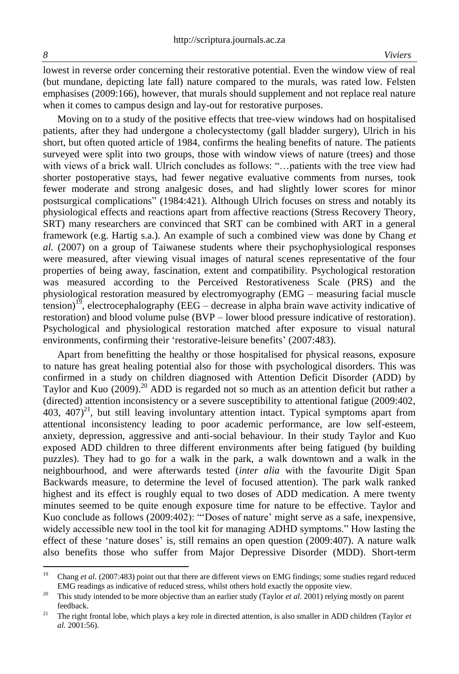$\overline{a}$ 

lowest in reverse order concerning their restorative potential. Even the window view of real (but mundane, depicting late fall) nature compared to the murals, was rated low. Felsten emphasises (2009:166), however, that murals should supplement and not replace real nature when it comes to campus design and lay-out for restorative purposes.

Moving on to a study of the positive effects that tree-view windows had on hospitalised patients, after they had undergone a cholecystectomy (gall bladder surgery), Ulrich in his short, but often quoted article of 1984, confirms the healing benefits of nature. The patients surveyed were split into two groups, those with window views of nature (trees) and those with views of a brick wall. Ulrich concludes as follows: "…patients with the tree view had shorter postoperative stays, had fewer negative evaluative comments from nurses, took fewer moderate and strong analgesic doses, and had slightly lower scores for minor postsurgical complications" (1984:421). Although Ulrich focuses on stress and notably its physiological effects and reactions apart from affective reactions (Stress Recovery Theory, SRT) many researchers are convinced that SRT can be combined with ART in a general framework (e.g. Hartig s.a.). An example of such a combined view was done by Chang *et al.* (2007) on a group of Taiwanese students where their psychophysiological responses were measured, after viewing visual images of natural scenes representative of the four properties of being away, fascination, extent and compatibility. Psychological restoration was measured according to the Perceived Restorativeness Scale (PRS) and the physiological restoration measured by electromyography (EMG – measuring facial muscle tension)<sup>19</sup>, electrocephalography (EEG – decrease in alpha brain wave activity indicative of restoration) and blood volume pulse (BVP – lower blood pressure indicative of restoration). Psychological and physiological restoration matched after exposure to visual natural environments, confirming their 'restorative-leisure benefits' (2007:483).

Apart from benefitting the healthy or those hospitalised for physical reasons, exposure to nature has great healing potential also for those with psychological disorders. This was confirmed in a study on children diagnosed with Attention Deficit Disorder (ADD) by Taylor and Kuo (2009).<sup>20</sup> ADD is regarded not so much as an attention deficit but rather a (directed) attention inconsistency or a severe susceptibility to attentional fatigue (2009:402, 403, 407 $2^{21}$ , but still leaving involuntary attention intact. Typical symptoms apart from attentional inconsistency leading to poor academic performance, are low self-esteem, anxiety, depression, aggressive and anti-social behaviour. In their study Taylor and Kuo exposed ADD children to three different environments after being fatigued (by building puzzles). They had to go for a walk in the park, a walk downtown and a walk in the neighbourhood, and were afterwards tested (*inter alia* with the favourite Digit Span Backwards measure, to determine the level of focused attention). The park walk ranked highest and its effect is roughly equal to two doses of ADD medication. A mere twenty minutes seemed to be quite enough exposure time for nature to be effective. Taylor and Kuo conclude as follows (2009:402): "'Doses of nature' might serve as a safe, inexpensive, widely accessible new tool in the tool kit for managing ADHD symptoms." How lasting the effect of these 'nature doses' is, still remains an open question (2009:407). A nature walk also benefits those who suffer from Major Depressive Disorder (MDD). Short-term

<sup>&</sup>lt;sup>19</sup> Chang *et al.* (2007:483) point out that there are different views on EMG findings; some studies regard reduced EMG readings as indicative of reduced stress, whilst others hold exactly the opposite view.

<sup>&</sup>lt;sup>20</sup> This study intended to be more objective than an earlier study (Taylor *et al.* 2001) relying mostly on parent feedback.

<sup>&</sup>lt;sup>21</sup> The right frontal lobe, which plays a key role in directed attention, is also smaller in ADD children (Taylor  $et$ *al.* 2001:56).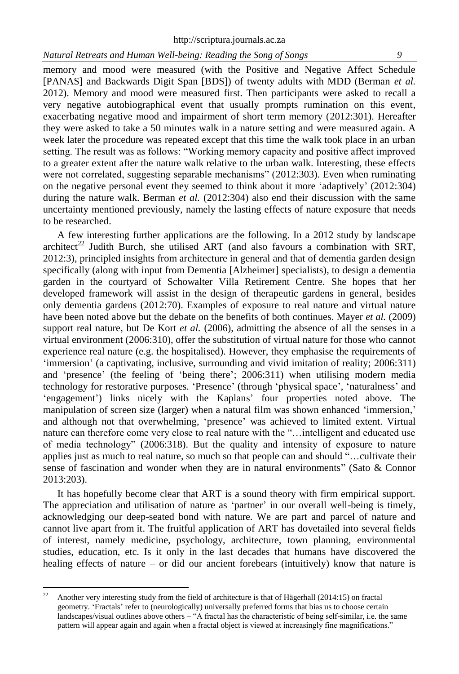memory and mood were measured (with the Positive and Negative Affect Schedule [PANAS] and Backwards Digit Span [BDS]) of twenty adults with MDD (Berman *et al.* 2012). Memory and mood were measured first. Then participants were asked to recall a very negative autobiographical event that usually prompts rumination on this event, exacerbating negative mood and impairment of short term memory (2012:301). Hereafter they were asked to take a 50 minutes walk in a nature setting and were measured again. A week later the procedure was repeated except that this time the walk took place in an urban setting. The result was as follows: "Working memory capacity and positive affect improved to a greater extent after the nature walk relative to the urban walk. Interesting, these effects were not correlated, suggesting separable mechanisms" (2012:303). Even when ruminating on the negative personal event they seemed to think about it more 'adaptively' (2012:304) during the nature walk. Berman *et al.* (2012:304) also end their discussion with the same uncertainty mentioned previously, namely the lasting effects of nature exposure that needs to be researched.

A few interesting further applications are the following. In a 2012 study by landscape architect<sup>22</sup> Judith Burch, she utilised ART (and also favours a combination with SRT, 2012:3), principled insights from architecture in general and that of dementia garden design specifically (along with input from Dementia [Alzheimer] specialists), to design a dementia garden in the courtyard of Schowalter Villa Retirement Centre. She hopes that her developed framework will assist in the design of therapeutic gardens in general, besides only dementia gardens (2012:70). Examples of exposure to real nature and virtual nature have been noted above but the debate on the benefits of both continues. Mayer *et al.* (2009) support real nature, but De Kort *et al.* (2006), admitting the absence of all the senses in a virtual environment (2006:310), offer the substitution of virtual nature for those who cannot experience real nature (e.g. the hospitalised). However, they emphasise the requirements of 'immersion' (a captivating, inclusive, surrounding and vivid imitation of reality; 2006:311) and 'presence' (the feeling of 'being there'; 2006:311) when utilising modern media technology for restorative purposes. 'Presence' (through 'physical space', 'naturalness' and 'engagement') links nicely with the Kaplans' four properties noted above. The manipulation of screen size (larger) when a natural film was shown enhanced 'immersion,' and although not that overwhelming, 'presence' was achieved to limited extent. Virtual nature can therefore come very close to real nature with the "…intelligent and educated use of media technology" (2006:318). But the quality and intensity of exposure to nature applies just as much to real nature, so much so that people can and should "…cultivate their sense of fascination and wonder when they are in natural environments" (Sato & Connor 2013:203).

It has hopefully become clear that ART is a sound theory with firm empirical support. The appreciation and utilisation of nature as 'partner' in our overall well-being is timely, acknowledging our deep-seated bond with nature. We are part and parcel of nature and cannot live apart from it. The fruitful application of ART has dovetailed into several fields of interest, namely medicine, psychology, architecture, town planning, environmental studies, education, etc. Is it only in the last decades that humans have discovered the healing effects of nature – or did our ancient forebears (intuitively) know that nature is

 $22$ <sup>22</sup> Another very interesting study from the field of architecture is that of Hägerhall (2014:15) on fractal geometry. 'Fractals' refer to (neurologically) universally preferred forms that bias us to choose certain landscapes/visual outlines above others – "A fractal has the characteristic of being self-similar, i.e. the same pattern will appear again and again when a fractal object is viewed at increasingly fine magnifications."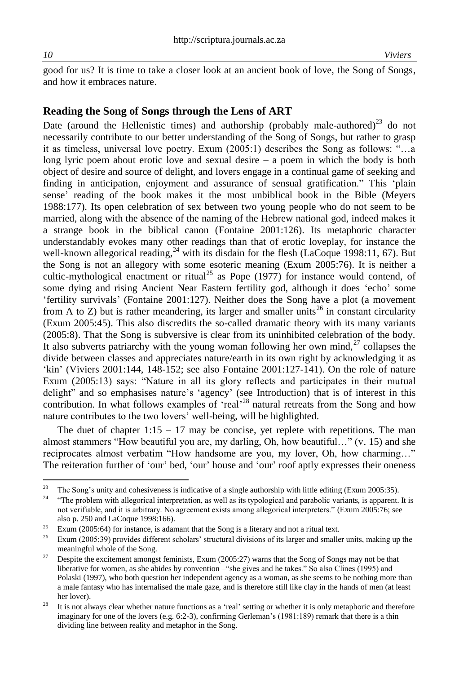good for us? It is time to take a closer look at an ancient book of love, the Song of Songs, and how it embraces nature.

## **Reading the Song of Songs through the Lens of ART**

Date (around the Hellenistic times) and authorship (probably male-authored)<sup>23</sup> do not necessarily contribute to our better understanding of the Song of Songs, but rather to grasp it as timeless, universal love poetry. Exum (2005:1) describes the Song as follows: "…a long lyric poem about erotic love and sexual desire – a poem in which the body is both object of desire and source of delight, and lovers engage in a continual game of seeking and finding in anticipation, enjoyment and assurance of sensual gratification." This 'plain sense' reading of the book makes it the most unbiblical book in the Bible (Meyers 1988:177). Its open celebration of sex between two young people who do not seem to be married, along with the absence of the naming of the Hebrew national god, indeed makes it a strange book in the biblical canon (Fontaine 2001:126). Its metaphoric character understandably evokes many other readings than that of erotic loveplay, for instance the well-known allegorical reading,<sup>24</sup> with its disdain for the flesh (LaCoque 1998:11, 67). But the Song is not an allegory with some esoteric meaning (Exum 2005:76). It is neither a cultic-mythological enactment or ritual<sup>25</sup> as Pope (1977) for instance would contend, of some dying and rising Ancient Near Eastern fertility god, although it does 'echo' some 'fertility survivals' (Fontaine 2001:127). Neither does the Song have a plot (a movement from A to Z) but is rather meandering, its larger and smaller units<sup>26</sup> in constant circularity (Exum 2005:45). This also discredits the so-called dramatic theory with its many variants (2005:8). That the Song is subversive is clear from its uninhibited celebration of the body. It also subverts patriarchy with the young woman following her own mind, $^{27}$  collapses the divide between classes and appreciates nature/earth in its own right by acknowledging it as 'kin' (Viviers 2001:144, 148-152; see also Fontaine 2001:127-141). On the role of nature Exum (2005:13) says: "Nature in all its glory reflects and participates in their mutual delight" and so emphasises nature's 'agency' (see Introduction) that is of interest in this contribution. In what follows examples of 'real'<sup>28</sup> natural retreats from the Song and how nature contributes to the two lovers' well-being, will be highlighted.

The duet of chapter  $1:15 - 17$  may be concise, yet replete with repetitions. The man almost stammers "How beautiful you are, my darling, Oh, how beautiful…" (v. 15) and she reciprocates almost verbatim "How handsome are you, my lover, Oh, how charming…" The reiteration further of 'our' bed, 'our' house and 'our' roof aptly expresses their oneness

<sup>23</sup> <sup>23</sup> The Song's unity and cohesiveness is indicative of a single authorship with little editing (Exum 2005:35).<br><sup>24</sup> "The problem with ellecation littler restation as well as its translocised and pershalis variants is app

<sup>24</sup> "The problem with allegorical interpretation, as well as its typological and parabolic variants, is apparent. It is not verifiable, and it is arbitrary. No agreement exists among allegorical interpreters." (Exum 2005:76; see also p. 250 and LaCoque 1998:166).

<sup>&</sup>lt;sup>25</sup> Exum (2005:64) for instance, is adamant that the Song is a literary and not a ritual text.

<sup>&</sup>lt;sup>26</sup> Exum (2005:39) provides different scholars' structural divisions of its larger and smaller units, making up the meaningful whole of the Song.

<sup>&</sup>lt;sup>27</sup> Despite the excitement amongst feminists, Exum (2005:27) warns that the Song of Songs may not be that liberative for women, as she abides by convention – "she gives and he takes." So also Clines (1995) and Polaski (1997), who both question her independent agency as a woman, as she seems to be nothing more than a male fantasy who has internalised the male gaze, and is therefore still like clay in the hands of men (at least her lover).

<sup>&</sup>lt;sup>28</sup> It is not always clear whether nature functions as a 'real' setting or whether it is only metaphoric and therefore imaginary for one of the lovers (e.g. 6:2-3), confirming Gerleman's (1981:189) remark that there is a thin dividing line between reality and metaphor in the Song.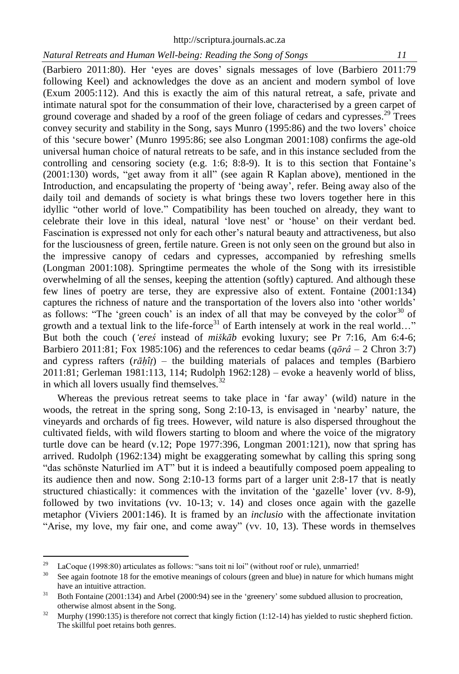(Barbiero 2011:80). Her 'eyes are doves' signals messages of love (Barbiero 2011:79 following Keel) and acknowledges the dove as an ancient and modern symbol of love (Exum 2005:112). And this is exactly the aim of this natural retreat, a safe, private and intimate natural spot for the consummation of their love, characterised by a green carpet of ground coverage and shaded by a roof of the green foliage of cedars and cypresses.<sup>29</sup> Trees convey security and stability in the Song, says Munro (1995:86) and the two lovers' choice of this 'secure bower' (Munro 1995:86; see also Longman 2001:108) confirms the age-old universal human choice of natural retreats to be safe, and in this instance secluded from the controlling and censoring society (e.g. 1:6; 8:8-9). It is to this section that Fontaine's (2001:130) words, "get away from it all" (see again R Kaplan above), mentioned in the Introduction, and encapsulating the property of 'being away', refer. Being away also of the daily toil and demands of society is what brings these two lovers together here in this idyllic "other world of love." Compatibility has been touched on already, they want to celebrate their love in this ideal, natural 'love nest' or 'house' on their verdant bed. Fascination is expressed not only for each other's natural beauty and attractiveness, but also for the lusciousness of green, fertile nature. Green is not only seen on the ground but also in the impressive canopy of cedars and cypresses, accompanied by refreshing smells (Longman 2001:108). Springtime permeates the whole of the Song with its irresistible overwhelming of all the senses, keeping the attention (softly) captured. And although these few lines of poetry are terse, they are expressive also of extent. Fontaine (2001:134) captures the richness of nature and the transportation of the lovers also into 'other worlds' as follows: "The 'green couch' is an index of all that may be conveyed by the color $30$  of growth and a textual link to the life-force<sup>31</sup> of Earth intensely at work in the real world..." But both the couch (*'ereś* instead of *miškāb* evoking luxury; see Pr 7:16, Am 6:4-6; Barbiero 2011:81; Fox 1985:106) and the references to cedar beams (*qōrâ* – 2 Chron 3:7) and cypress rafters (*rāḥîṭ*) – the building materials of palaces and temples (Barbiero 2011:81; Gerleman 1981:113, 114; Rudolph 1962:128) – evoke a heavenly world of bliss, in which all lovers usually find themselves. $32$ 

Whereas the previous retreat seems to take place in 'far away' (wild) nature in the woods, the retreat in the spring song, Song 2:10-13, is envisaged in 'nearby' nature, the vineyards and orchards of fig trees. However, wild nature is also dispersed throughout the cultivated fields, with wild flowers starting to bloom and where the voice of the migratory turtle dove can be heard (v.12; Pope 1977:396, Longman 2001:121), now that spring has arrived. Rudolph (1962:134) might be exaggerating somewhat by calling this spring song "das schönste Naturlied im AT" but it is indeed a beautifully composed poem appealing to its audience then and now. Song 2:10-13 forms part of a larger unit 2:8-17 that is neatly structured chiastically: it commences with the invitation of the 'gazelle' lover (vv. 8-9), followed by two invitations (vv. 10-13; v. 14) and closes once again with the gazelle metaphor (Viviers 2001:146). It is framed by an *inclusio* with the affectionate invitation "Arise, my love, my fair one, and come away" (vv. 10, 13). These words in themselves

<sup>29</sup> <sup>29</sup> LaCoque (1998:80) articulates as follows: "sans toit ni loi" (without roof or rule), unmarried!<br><sup>30</sup> See again footpote 18 for the emotive meanings of colours (green and blue) in nature for which

See again footnote 18 for the emotive meanings of colours (green and blue) in nature for which humans might have an intuitive attraction.

 $31$  Both Fontaine (2001:134) and Arbel (2000:94) see in the 'greenery' some subdued allusion to procreation, otherwise almost absent in the Song.

<sup>&</sup>lt;sup>32</sup> Murphy (1990:135) is therefore not correct that kingly fiction (1:12-14) has yielded to rustic shepherd fiction. The skillful poet retains both genres.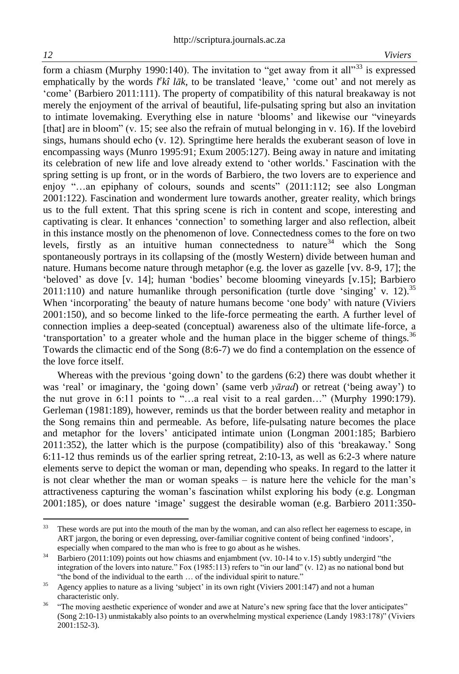form a chiasm (Murphy 1990:140). The invitation to "get away from it all"<sup>33</sup> is expressed emphatically by the words  $l^ek\hat{i}$  *lak*, to be translated 'leave,' 'come out' and not merely as 'come' (Barbiero 2011:111). The property of compatibility of this natural breakaway is not merely the enjoyment of the arrival of beautiful, life-pulsating spring but also an invitation to intimate lovemaking. Everything else in nature 'blooms' and likewise our "vineyards [that] are in bloom" (v. 15; see also the refrain of mutual belonging in v. 16). If the lovebird sings, humans should echo (v. 12). Springtime here heralds the exuberant season of love in encompassing ways (Munro 1995:91; Exum 2005:127). Being away in nature and imitating its celebration of new life and love already extend to 'other worlds.' Fascination with the spring setting is up front, or in the words of Barbiero, the two lovers are to experience and enjoy "…an epiphany of colours, sounds and scents" (2011:112; see also Longman 2001:122). Fascination and wonderment lure towards another, greater reality, which brings us to the full extent. That this spring scene is rich in content and scope, interesting and captivating is clear. It enhances 'connection' to something larger and also reflection, albeit in this instance mostly on the phenomenon of love. Connectedness comes to the fore on two levels, firstly as an intuitive human connectedness to nature<sup>34</sup> which the Song spontaneously portrays in its collapsing of the (mostly Western) divide between human and nature. Humans become nature through metaphor (e.g. the lover as gazelle [vv. 8-9, 17]; the 'beloved' as dove [v. 14]; human 'bodies' become blooming vineyards [v.15]; Barbiero 2011:110) and nature humanlike through personification (turtle dove 'singing' v. 12).<sup>35</sup> When 'incorporating' the beauty of nature humans become 'one body' with nature (Viviers 2001:150), and so become linked to the life-force permeating the earth. A further level of connection implies a deep-seated (conceptual) awareness also of the ultimate life-force, a 'transportation' to a greater whole and the human place in the bigger scheme of things.<sup>36</sup> Towards the climactic end of the Song (8:6-7) we do find a contemplation on the essence of the love force itself.

Whereas with the previous 'going down' to the gardens (6:2) there was doubt whether it was 'real' or imaginary, the 'going down' (same verb *yārad*) or retreat ('being away') to the nut grove in 6:11 points to "…a real visit to a real garden…" (Murphy 1990:179). Gerleman (1981:189), however, reminds us that the border between reality and metaphor in the Song remains thin and permeable. As before, life-pulsating nature becomes the place and metaphor for the lovers' anticipated intimate union (Longman 2001:185; Barbiero 2011:352), the latter which is the purpose (compatibility) also of this 'breakaway.' Song 6:11-12 thus reminds us of the earlier spring retreat, 2:10-13, as well as 6:2-3 where nature elements serve to depict the woman or man, depending who speaks. In regard to the latter it is not clear whether the man or woman speaks – is nature here the vehicle for the man's attractiveness capturing the woman's fascination whilst exploring his body (e.g. Longman 2001:185), or does nature 'image' suggest the desirable woman (e.g. Barbiero 2011:350-

<sup>33</sup> These words are put into the mouth of the man by the woman, and can also reflect her eagerness to escape, in ART jargon, the boring or even depressing, over-familiar cognitive content of being confined 'indoors', especially when compared to the man who is free to go about as he wishes.

 $34$  Barbiero (2011:109) points out how chiasms and enjambment (vv. 10-14 to v.15) subtly undergird "the integration of the lovers into nature." Fox (1985:113) refers to "in our land" (v. 12) as no national bond but "the bond of the individual to the earth … of the individual spirit to nature."

<sup>&</sup>lt;sup>35</sup> Agency applies to nature as a living 'subject' in its own right (Viviers 2001:147) and not a human characteristic only.

<sup>&</sup>lt;sup>36</sup> "The moving aesthetic experience of wonder and awe at Nature's new spring face that the lover anticipates" (Song 2:10-13) unmistakably also points to an overwhelming mystical experience (Landy 1983:178)" (Viviers 2001:152-3).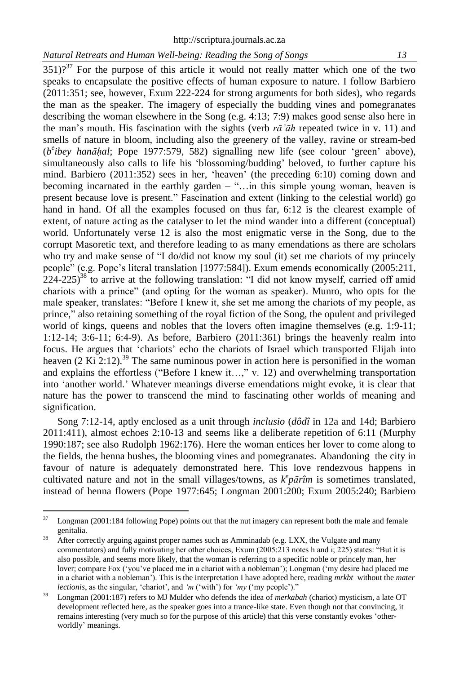$351$ )?<sup>37</sup> For the purpose of this article it would not really matter which one of the two speaks to encapsulate the positive effects of human exposure to nature. I follow Barbiero (2011:351; see, however, Exum 222-224 for strong arguments for both sides), who regards the man as the speaker. The imagery of especially the budding vines and pomegranates describing the woman elsewhere in the Song (e.g. 4:13; 7:9) makes good sense also here in the man's mouth. His fascination with the sights (verb *rā'āh* repeated twice in v. 11) and smells of nature in bloom, including also the greenery of the valley, ravine or stream-bed (*b e ibey hanāḥal*; Pope 1977:579, 582) signalling new life (see colour 'green' above), simultaneously also calls to life his 'blossoming/budding' beloved, to further capture his mind. Barbiero (2011:352) sees in her, 'heaven' (the preceding 6:10) coming down and becoming incarnated in the earthly garden – "…in this simple young woman, heaven is present because love is present." Fascination and extent (linking to the celestial world) go hand in hand. Of all the examples focused on thus far, 6:12 is the clearest example of extent, of nature acting as the catalyser to let the mind wander into a different (conceptual) world. Unfortunately verse 12 is also the most enigmatic verse in the Song, due to the corrupt Masoretic text, and therefore leading to as many emendations as there are scholars who try and make sense of "I do/did not know my soul (it) set me chariots of my princely people" (e.g. Pope's literal translation [1977:584]). Exum emends economically (2005:211,  $224$ -225)<sup>38</sup> to arrive at the following translation: "I did not know myself, carried off amid chariots with a prince" (and opting for the woman as speaker). Munro, who opts for the male speaker, translates: "Before I knew it, she set me among the chariots of my people, as prince," also retaining something of the royal fiction of the Song, the opulent and privileged world of kings, queens and nobles that the lovers often imagine themselves (e.g. 1:9-11; 1:12-14; 3:6-11; 6:4-9). As before, Barbiero (2011:361) brings the heavenly realm into focus. He argues that 'chariots' echo the chariots of Israel which transported Elijah into heaven  $(2 \text{ Ki } 2:12)$ .<sup>39</sup> The same numinous power in action here is personified in the woman and explains the effortless ("Before I knew it…," v. 12) and overwhelming transportation into 'another world.' Whatever meanings diverse emendations might evoke, it is clear that nature has the power to transcend the mind to fascinating other worlds of meaning and signification.

Song 7:12-14, aptly enclosed as a unit through *inclusio* (*dôdî* in 12a and 14d; Barbiero 2011:411), almost echoes 2:10-13 and seems like a deliberate repetition of 6:11 (Murphy 1990:187; see also Rudolph 1962:176). Here the woman entices her lover to come along to the fields, the henna bushes, the blooming vines and pomegranates. Abandoning the city in favour of nature is adequately demonstrated here. This love rendezvous happens in cultivated nature and not in the small villages/towns, as  $k^e p \bar{a} r \hat{i} m$  is sometimes translated, instead of henna flowers (Pope 1977:645; Longman 2001:200; Exum 2005:240; Barbiero

<sup>37</sup> Longman (2001:184 following Pope) points out that the nut imagery can represent both the male and female genitalia.

<sup>&</sup>lt;sup>38</sup> After correctly arguing against proper names such as Amminadab (e.g. LXX, the Vulgate and many commentators) and fully motivating her other choices, Exum (2005:213 notes h and i; 225) states: "But it is also possible, and seems more likely, that the woman is referring to a specific noble or princely man, her lover; compare Fox ('you've placed me in a chariot with a nobleman'); Longman ('my desire had placed me in a chariot with a nobleman'). This is the interpretation I have adopted here, reading *mrkbt* without the *mater lectionis*, as the singular, 'chariot', and *'m* ('with') for *'my* ('my people')."

<sup>39</sup> Longman (2001:187) refers to MJ Mulder who defends the idea of *merkabah* (chariot) mysticism, a late OT development reflected here, as the speaker goes into a trance-like state. Even though not that convincing, it remains interesting (very much so for the purpose of this article) that this verse constantly evokes 'otherworldly' meanings.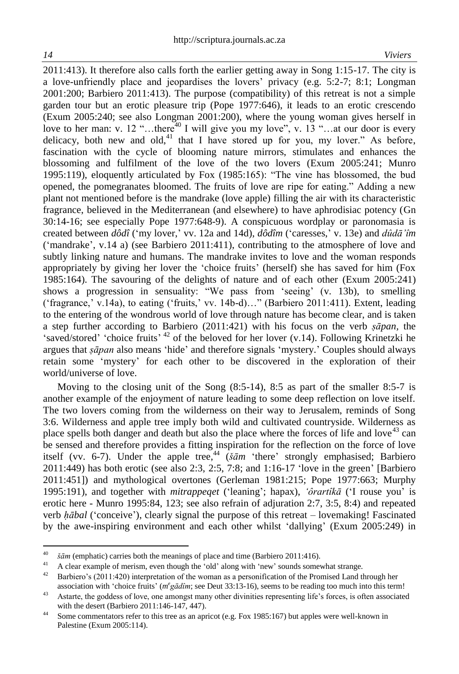$\overline{a}$ 

2011:413). It therefore also calls forth the earlier getting away in Song 1:15-17. The city is a love-unfriendly place and jeopardises the lovers' privacy (e.g. 5:2-7; 8:1; Longman 2001:200; Barbiero 2011:413). The purpose (compatibility) of this retreat is not a simple garden tour but an erotic pleasure trip (Pope 1977:646), it leads to an erotic crescendo (Exum 2005:240; see also Longman 2001:200), where the young woman gives herself in love to her man: v. 12 "...there<sup>40</sup> I will give you my love", v. 13 "...at our door is every delicacy, both new and old, $41$  that I have stored up for you, my lover." As before, fascination with the cycle of blooming nature mirrors, stimulates and enhances the blossoming and fulfilment of the love of the two lovers (Exum 2005:241; Munro 1995:119), eloquently articulated by Fox (1985:165): "The vine has blossomed, the bud opened, the pomegranates bloomed. The fruits of love are ripe for eating." Adding a new plant not mentioned before is the mandrake (love apple) filling the air with its characteristic fragrance, believed in the Mediterranean (and elsewhere) to have aphrodisiac potency (Gn 30:14-16; see especially Pope 1977:648-9). A conspicuous wordplay or paronomasia is created between *dôdî* ('my lover,' vv. 12a and 14d), *dôdîm* ('caresses,' v. 13e) and *dûdā'îm* ('mandrake', v.14 a) (see Barbiero 2011:411), contributing to the atmosphere of love and subtly linking nature and humans. The mandrake invites to love and the woman responds appropriately by giving her lover the 'choice fruits' (herself) she has saved for him (Fox 1985:164). The savouring of the delights of nature and of each other (Exum 2005:241) shows a progression in sensuality: "We pass from 'seeing' (v. 13b), to smelling ('fragrance,' v.14a), to eating ('fruits,' vv. 14b-d)…" (Barbiero 2011:411). Extent, leading to the entering of the wondrous world of love through nature has become clear, and is taken a step further according to Barbiero (2011:421) with his focus on the verb *ṣāpan,* the 'saved/stored' 'choice fruits'  $42$  of the beloved for her lover (v.14). Following Krinetzki he argues that *ṣāpan* also means 'hide' and therefore signals 'mystery.' Couples should always retain some 'mystery' for each other to be discovered in the exploration of their world/universe of love.

Moving to the closing unit of the Song (8:5-14), 8:5 as part of the smaller 8:5-7 is another example of the enjoyment of nature leading to some deep reflection on love itself. The two lovers coming from the wilderness on their way to Jerusalem, reminds of Song 3:6. Wilderness and apple tree imply both wild and cultivated countryside. Wilderness as place spells both danger and death but also the place where the forces of life and love<sup>43</sup> can be sensed and therefore provides a fitting inspiration for the reflection on the force of love itself (vv. 6-7). Under the apple tree,<sup>44</sup> (*šām* 'there' strongly emphasised; Barbiero 2011:449) has both erotic (see also 2:3, 2:5, 7:8; and 1:16-17 'love in the green' [Barbiero 2011:451]) and mythological overtones (Gerleman 1981:215; Pope 1977:663; Murphy 1995:191), and together with *mitrappeqet* ('leaning'; hapax), *'ôrartîkā* ('I rouse you' is erotic here - Munro 1995:84, 123; see also refrain of adjuration 2:7, 3:5, 8:4) and repeated verb *ḥābal* ('conceive'), clearly signal the purpose of this retreat – lovemaking! Fascinated by the awe-inspiring environment and each other whilst 'dallying' (Exum 2005:249) in

<sup>&</sup>lt;sup>40</sup> *šām* (emphatic) carries both the meanings of place and time (Barbiero 2011:416).

<sup>&</sup>lt;sup>41</sup> A clear example of merism, even though the 'old' along with 'new' sounds somewhat strange.<br><sup>42</sup> Barbiero's (2011-420) interpretation of the woman as a personification of the Promised Land t

<sup>42</sup> Barbiero's (2011:420) interpretation of the woman as a personification of the Promised Land through her association with 'choice fruits' (*m<sup>e</sup>gādîm*; see Deut 33:13-16), seems to be reading too much into this term!

<sup>&</sup>lt;sup>43</sup> Astarte, the goddess of love, one amongst many other divinities representing life's forces, is often associated with the desert (Barbiero 2011:146-147, 447).

<sup>&</sup>lt;sup>44</sup> Some commentators refer to this tree as an apricot (e.g. Fox 1985:167) but apples were well-known in Palestine (Exum 2005:114).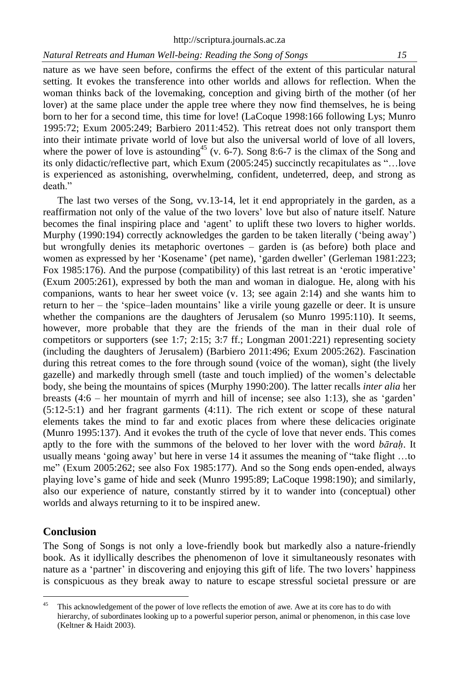nature as we have seen before, confirms the effect of the extent of this particular natural setting. It evokes the transference into other worlds and allows for reflection. When the woman thinks back of the lovemaking, conception and giving birth of the mother (of her lover) at the same place under the apple tree where they now find themselves, he is being born to her for a second time, this time for love! (LaCoque 1998:166 following Lys; Munro 1995:72; Exum 2005:249; Barbiero 2011:452). This retreat does not only transport them into their intimate private world of love but also the universal world of love of all lovers, where the power of love is astounding<sup>45</sup> (v. 6-7). Song 8:6-7 is the climax of the Song and its only didactic/reflective part, which Exum (2005:245) succinctly recapitulates as "…love is experienced as astonishing, overwhelming, confident, undeterred, deep, and strong as death."

The last two verses of the Song, vv.13-14, let it end appropriately in the garden, as a reaffirmation not only of the value of the two lovers' love but also of nature itself. Nature becomes the final inspiring place and 'agent' to uplift these two lovers to higher worlds. Murphy (1990:194) correctly acknowledges the garden to be taken literally ('being away') but wrongfully denies its metaphoric overtones – garden is (as before) both place and women as expressed by her 'Kosename' (pet name), 'garden dweller' (Gerleman 1981:223; Fox 1985:176). And the purpose (compatibility) of this last retreat is an 'erotic imperative' (Exum 2005:261), expressed by both the man and woman in dialogue. He, along with his companions, wants to hear her sweet voice (v. 13; see again 2:14) and she wants him to return to her – the 'spice–laden mountains' like a virile young gazelle or deer. It is unsure whether the companions are the daughters of Jerusalem (so Munro 1995:110). It seems, however, more probable that they are the friends of the man in their dual role of competitors or supporters (see 1:7; 2:15; 3:7 ff.; Longman 2001:221) representing society (including the daughters of Jerusalem) (Barbiero 2011:496; Exum 2005:262). Fascination during this retreat comes to the fore through sound (voice of the woman), sight (the lively gazelle) and markedly through smell (taste and touch implied) of the women's delectable body, she being the mountains of spices (Murphy 1990:200). The latter recalls *inter alia* her breasts (4:6 – her mountain of myrrh and hill of incense; see also 1:13), she as 'garden' (5:12-5:1) and her fragrant garments (4:11). The rich extent or scope of these natural elements takes the mind to far and exotic places from where these delicacies originate (Munro 1995:137). And it evokes the truth of the cycle of love that never ends. This comes aptly to the fore with the summons of the beloved to her lover with the word *bāraḥ*. It usually means 'going away' but here in verse 14 it assumes the meaning of "take flight …to me" (Exum 2005:262; see also Fox 1985:177). And so the Song ends open-ended, always playing love's game of hide and seek (Munro 1995:89; LaCoque 1998:190); and similarly, also our experience of nature, constantly stirred by it to wander into (conceptual) other worlds and always returning to it to be inspired anew.

## **Conclusion**

The Song of Songs is not only a love-friendly book but markedly also a nature-friendly book. As it idyllically describes the phenomenon of love it simultaneously resonates with nature as a 'partner' in discovering and enjoying this gift of life. The two lovers' happiness is conspicuous as they break away to nature to escape stressful societal pressure or are

<sup>45</sup> This acknowledgement of the power of love reflects the emotion of awe. Awe at its core has to do with hierarchy, of subordinates looking up to a powerful superior person, animal or phenomenon, in this case love (Keltner & Haidt 2003).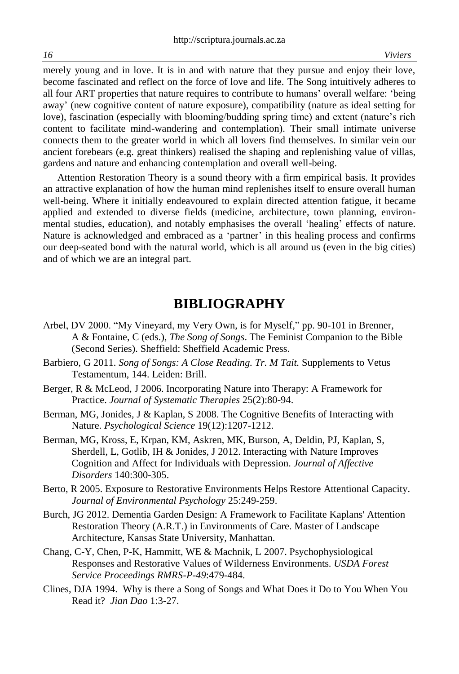merely young and in love. It is in and with nature that they pursue and enjoy their love, become fascinated and reflect on the force of love and life. The Song intuitively adheres to all four ART properties that nature requires to contribute to humans' overall welfare: 'being away' (new cognitive content of nature exposure), compatibility (nature as ideal setting for love), fascination (especially with blooming/budding spring time) and extent (nature's rich content to facilitate mind-wandering and contemplation). Their small intimate universe connects them to the greater world in which all lovers find themselves. In similar vein our ancient forebears (e.g. great thinkers) realised the shaping and replenishing value of villas, gardens and nature and enhancing contemplation and overall well-being.

Attention Restoration Theory is a sound theory with a firm empirical basis. It provides an attractive explanation of how the human mind replenishes itself to ensure overall human well-being. Where it initially endeavoured to explain directed attention fatigue, it became applied and extended to diverse fields (medicine, architecture, town planning, environmental studies, education), and notably emphasises the overall 'healing' effects of nature. Nature is acknowledged and embraced as a 'partner' in this healing process and confirms our deep-seated bond with the natural world, which is all around us (even in the big cities) and of which we are an integral part.

# **BIBLIOGRAPHY**

- Arbel, DV 2000. "My Vineyard, my Very Own, is for Myself," pp. 90-101 in Brenner, A & Fontaine, C (eds.), *The Song of Songs*. The Feminist Companion to the Bible (Second Series). Sheffield: Sheffield Academic Press.
- Barbiero, G 2011. *Song of Songs: A Close Reading. Tr. M Tait.* Supplements to Vetus Testamentum, 144. Leiden: Brill.
- Berger, R & McLeod, J 2006. Incorporating Nature into Therapy: A Framework for Practice. *Journal of Systematic Therapies* 25(2):80-94.
- Berman, MG, Jonides, J & Kaplan, S 2008. The Cognitive Benefits of Interacting with Nature. *Psychological Science* 19(12):1207-1212.
- Berman, MG, Kross, E, Krpan, KM, Askren, MK, Burson, A, Deldin, PJ, Kaplan, S, Sherdell, L, Gotlib, IH & Jonides, J 2012. Interacting with Nature Improves Cognition and Affect for Individuals with Depression. *Journal of Affective Disorders* 140:300-305.
- Berto, R 2005. Exposure to Restorative Environments Helps Restore Attentional Capacity. *Journal of Environmental Psychology* 25:249-259.
- Burch, JG 2012. Dementia Garden Design: A Framework to Facilitate Kaplans' Attention Restoration Theory (A.R.T.) in Environments of Care. Master of Landscape Architecture, Kansas State University, Manhattan.
- Chang, C-Y, Chen, P-K, Hammitt, WE & Machnik, L 2007. Psychophysiological Responses and Restorative Values of Wilderness Environments. *USDA Forest Service Proceedings RMRS-P-49*:479-484.
- Clines, DJA 1994. Why is there a Song of Songs and What Does it Do to You When You Read it? *Jian Dao* 1:3-27.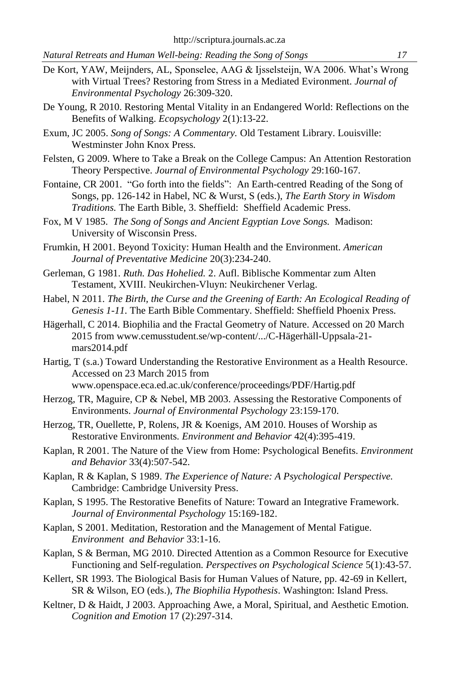- De Kort, YAW, Meijnders, AL, Sponselee, AAG & Ijsselsteijn, WA 2006. What's Wrong with Virtual Trees? Restoring from Stress in a Mediated Evironment. *Journal of Environmental Psychology* 26:309-320.
- De Young, R 2010. Restoring Mental Vitality in an Endangered World: Reflections on the Benefits of Walking. *Ecopsychology* 2(1):13-22.
- Exum, JC 2005. *Song of Songs: A Commentary.* Old Testament Library. Louisville: Westminster John Knox Press.
- Felsten, G 2009. Where to Take a Break on the College Campus: An Attention Restoration Theory Perspective. *Journal of Environmental Psychology* 29:160-167.
- Fontaine, CR 2001. "Go forth into the fields": An Earth-centred Reading of the Song of Songs, pp. 126-142 in Habel, NC & Wurst, S (eds.), *The Earth Story in Wisdom Traditions.* The Earth Bible, 3. Sheffield: Sheffield Academic Press.
- Fox, M V 1985. *The Song of Songs and Ancient Egyptian Love Songs.* Madison: University of Wisconsin Press.
- Frumkin, H 2001. Beyond Toxicity: Human Health and the Environment. *American Journal of Preventative Medicine* 20(3):234-240.
- Gerleman, G 1981. *Ruth. Das Hohelied.* 2. Aufl. Biblische Kommentar zum Alten Testament, XVIII. Neukirchen-Vluyn: Neukirchener Verlag.
- Habel, N 2011. *The Birth, the Curse and the Greening of Earth: An Ecological Reading of Genesis 1-11.* The Earth Bible Commentary. Sheffield: Sheffield Phoenix Press.
- Hägerhall, C 2014. Biophilia and the Fractal Geometry of Nature. Accessed on 20 March 2015 from [www.cemusstudent.se/wp-content/.../C-Hägerhäll-Uppsala-21](http://www.cemusstudent.se/wp-content/.../C-Hägerhäll-Uppsala-21-mars-) [mars2](http://www.cemusstudent.se/wp-content/.../C-Hägerhäll-Uppsala-21-mars-)014.pdf
- Hartig, T (s.a.) Toward Understanding the Restorative Environment as a Health Resource. Accessed on 23 March 2015 from www.openspace.eca.ed.ac.uk/conference/proceedings/PDF/Hartig.pdf
- Herzog, TR, Maguire, CP & Nebel, MB 2003. Assessing the Restorative Components of Environments. *Journal of Environmental Psychology* 23:159-170.
- Herzog, TR, Ouellette, P, Rolens, JR & Koenigs, AM 2010. Houses of Worship as Restorative Environments. *Environment and Behavior* 42(4):395-419.
- Kaplan, R 2001. The Nature of the View from Home: Psychological Benefits. *Environment and Behavior* 33(4):507-542.
- Kaplan, R & Kaplan, S 1989. *The Experience of Nature: A Psychological Perspective.*  Cambridge: Cambridge University Press.
- Kaplan, S 1995. The Restorative Benefits of Nature: Toward an Integrative Framework. *Journal of Environmental Psychology* 15:169-182.
- Kaplan, S 2001. Meditation, Restoration and the Management of Mental Fatigue. *Environment and Behavior* 33:1-16.
- Kaplan, S & Berman, MG 2010. Directed Attention as a Common Resource for Executive Functioning and Self-regulation. *Perspectives on Psychological Science* 5(1):43-57.
- Kellert, SR 1993. The Biological Basis for Human Values of Nature, pp. 42-69 in Kellert, SR & Wilson, EO (eds.), *The Biophilia Hypothesis*. Washington: Island Press.
- Keltner, D & Haidt, J 2003. Approaching Awe, a Moral, Spiritual, and Aesthetic Emotion. *Cognition and Emotion* 17 (2):297-314.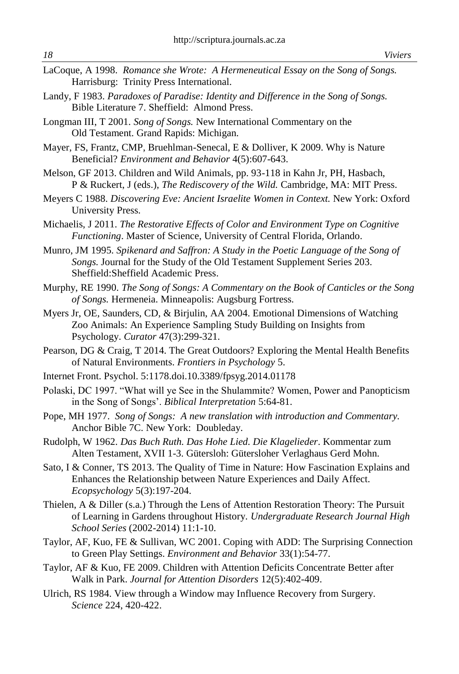- LaCoque, A 1998. *Romance she Wrote: A Hermeneutical Essay on the Song of Songs.*  Harrisburg: Trinity Press International.
- Landy, F 1983. *Paradoxes of Paradise: Identity and Difference in the Song of Songs.*  Bible Literature 7. Sheffield: Almond Press.
- Longman III, T 2001. *Song of Songs.* New International Commentary on the Old Testament. Grand Rapids: Michigan.
- Mayer, FS, Frantz, CMP, Bruehlman-Senecal, E & Dolliver, K 2009. Why is Nature Beneficial? *Environment and Behavior* 4(5):607-643.
- Melson, GF 2013. Children and Wild Animals, pp. 93-118 in Kahn Jr, PH, Hasbach, P & Ruckert, J (eds.), *The Rediscovery of the Wild.* Cambridge, MA: MIT Press.
- Meyers C 1988. *Discovering Eve: Ancient Israelite Women in Context.* New York: Oxford University Press.
- Michaelis, J 2011. *The Restorative Effects of Color and Environment Type on Cognitive Functioning*. Master of Science, University of Central Florida, Orlando.
- Munro, JM 1995. *Spikenard and Saffron: A Study in the Poetic Language of the Song of Songs.* Journal for the Study of the Old Testament Supplement Series 203. Sheffield:Sheffield Academic Press.
- Murphy, RE 1990. *The Song of Songs: A Commentary on the Book of Canticles or the Song of Songs.* Hermeneia. Minneapolis: Augsburg Fortress.
- Myers Jr, OE, Saunders, CD, & Birjulin, AA 2004. Emotional Dimensions of Watching Zoo Animals: An Experience Sampling Study Building on Insights from Psychology. *Curator* 47(3):299-321.
- Pearson, DG & Craig, T 2014. The Great Outdoors? Exploring the Mental Health Benefits of Natural Environments. *Frontiers in Psychology* 5.
- Internet Front. Psychol. 5:1178.doi.10.3389/fpsyg.2014.01178
- Polaski, DC 1997. "What will ye See in the Shulammite? Women, Power and Panopticism in the Song of Songs'. *Biblical Interpretation* 5:64-81.
- Pope, MH 1977. *Song of Songs: A new translation with introduction and Commentary.* Anchor Bible 7C. New York: Doubleday.
- Rudolph, W 1962. *Das Buch Ruth. Das Hohe Lied. Die Klagelieder*. Kommentar zum Alten Testament, XVII 1-3. Gütersloh: Gütersloher Verlaghaus Gerd Mohn.
- Sato, I & Conner, TS 2013. The Quality of Time in Nature: How Fascination Explains and Enhances the Relationship between Nature Experiences and Daily Affect. *Ecopsychology* 5(3):197-204.
- Thielen, A & Diller (s.a.) Through the Lens of Attention Restoration Theory: The Pursuit of Learning in Gardens throughout History. *Undergraduate Research Journal High School Series* (2002-2014) 11:1-10.
- Taylor, AF, Kuo, FE & Sullivan, WC 2001. Coping with ADD: The Surprising Connection to Green Play Settings. *Environment and Behavior* 33(1):54-77.
- Taylor, AF & Kuo, FE 2009. Children with Attention Deficits Concentrate Better after Walk in Park. *Journal for Attention Disorders* 12(5):402-409.
- Ulrich, RS 1984. View through a Window may Influence Recovery from Surgery. *Science* 224, 420-422.